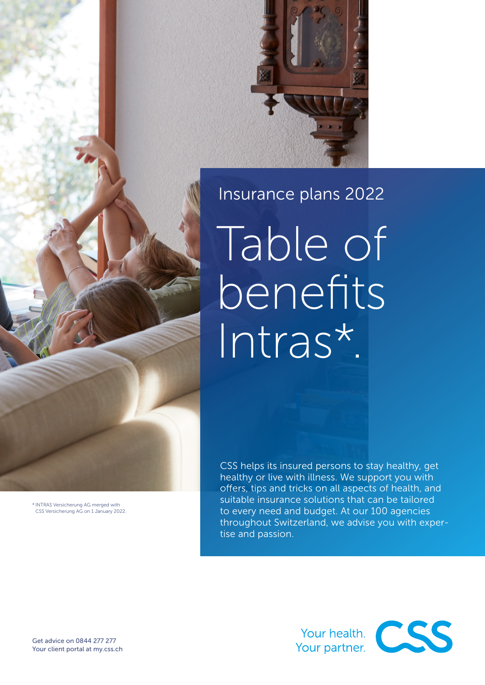

# Insurance plans 2022

Table of benefits Intras\*.

CSS helps its insured persons to stay healthy, get healthy or live with illness. We support you with offers, tips and tricks on all aspects of health, and suitable insurance solutions that can be tailored to every need and budget. At our 100 agencies throughout Switzerland, we advise you with expertise and passion.



\* INTRAS Versicherung AG merged with CSS Versicherung AG on 1 January 2022.



Get advice on 0844 277 277 Your client portal at [my.css.ch](http://my.css.ch)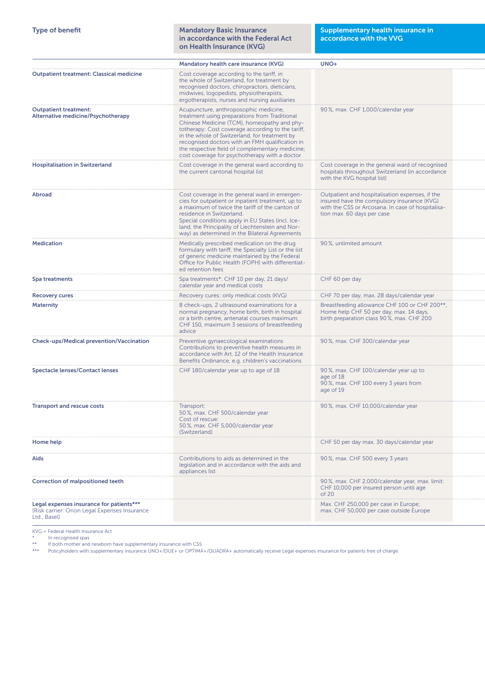| <b>Type of benefit</b>                                                                                    | <b>Mandatory Basic Insurance</b><br>in accordance with the Federal Act<br>on Health Insurance (KVG)                                                                                                                                                                                                                                                                                                | Supplementary health insurance in<br>accordance with the VVG                                                                                                                      |  |
|-----------------------------------------------------------------------------------------------------------|----------------------------------------------------------------------------------------------------------------------------------------------------------------------------------------------------------------------------------------------------------------------------------------------------------------------------------------------------------------------------------------------------|-----------------------------------------------------------------------------------------------------------------------------------------------------------------------------------|--|
|                                                                                                           | Mandatory health care insurance (KVG)                                                                                                                                                                                                                                                                                                                                                              | UNO+                                                                                                                                                                              |  |
| <b>Outpatient treatment: Classical medicine</b>                                                           | Cost coverage according to the tariff, in<br>the whole of Switzerland, for treatment by<br>recognised doctors, chiropractors, dieticians,<br>midwives, logopedists, physiotherapists,<br>ergotherapists, nurses and nursing auxiliaries                                                                                                                                                            |                                                                                                                                                                                   |  |
| <b>Outpatient treatment:</b><br><b>Alternative medicine/Psychotherapy</b>                                 | Acupuncture, anthroposophic medicine,<br>treatment using preparations from Traditional<br>Chinese Medicine (TCM), homeopathy and phy-<br>totherapy: Cost coverage according to the tariff,<br>in the whole of Switzerland, for treatment by<br>recognised doctors with an FMH qualification in<br>the respective field of complementary medicine;<br>cost coverage for psychotherapy with a doctor | 90 %, max. CHF 1,000/calendar year                                                                                                                                                |  |
| <b>Hospitalisation in Switzerland</b>                                                                     | Cost coverage in the general ward according to<br>the current cantonal hospital list                                                                                                                                                                                                                                                                                                               | Cost coverage in the general ward of recognised<br>hospitals throughout Switzerland (in accordance<br>with the KVG hospital list)                                                 |  |
| <b>Abroad</b>                                                                                             | Cost coverage in the general ward in emergen-<br>cies for outpatient or inpatient treatment, up to<br>a maximum of twice the tariff of the canton of<br>residence in Switzerland.<br>Special conditions apply in EU States (incl. Ice-<br>land, the Principality of Liechtenstein and Nor-<br>way) as determined in the Bilateral Agreements                                                       | Outpatient and hospitalisation expenses, if the<br>insured have the compulsory insurance (KVG)<br>with the CSS or Arcosana. In case of hospitalisa-<br>tion max. 60 days per case |  |
| <b>Medication</b>                                                                                         | Medically prescribed medication on the drug<br>formulary with tariff, the Specialty List or the list<br>of generic medicine maintained by the Federal<br>Office for Public Health (FOPH) with differentiat-<br>ed retention fees                                                                                                                                                                   | 90%, unlimited amount                                                                                                                                                             |  |
| Spa treatments                                                                                            | Spa treatments*: CHF 10 per day, 21 days/<br>calendar year and medical costs                                                                                                                                                                                                                                                                                                                       | CHF 60 per day                                                                                                                                                                    |  |
| <b>Recovery cures</b>                                                                                     | Recovery cures: only medical costs (KVG)                                                                                                                                                                                                                                                                                                                                                           | CHF 70 per day, max. 28 days/calendar year                                                                                                                                        |  |
| <b>Maternity</b>                                                                                          | 8 check-ups, 2 ultrasound examinations for a<br>normal pregnancy, home birth, birth in hospital<br>or a birth centre, antenatal courses maximum<br>CHF 150, maximum 3 sessions of breastfeeding<br>advice                                                                                                                                                                                          | Breastfeeding allowance CHF 100 or CHF 200**,<br>Home help CHF 50 per day, max. 14 days,<br>birth preparation class 90%, max. CHF 200                                             |  |
| <b>Check-ups/Medical prevention/Vaccination</b>                                                           | Preventive gynaecological examinations<br>Contributions to preventive health measures in<br>accordance with Art. 12 of the Health Insurance<br>Benefits Ordinance, e.g. children's vaccinations                                                                                                                                                                                                    | 90%, max. CHF 300/calendar year                                                                                                                                                   |  |
| <b>Spectacle lenses/Contact lenses</b>                                                                    | CHF 180/calendar year up to age of 18                                                                                                                                                                                                                                                                                                                                                              | 90 %, max. CHF 100/calendar year up to<br>age of 18<br>90%, max. CHF 100 every 3 years from<br>age of 19                                                                          |  |
| <b>Transport and rescue costs</b>                                                                         | Transport:<br>50%, max. CHF 500/calendar year<br>Cost of rescue:<br>50%, max. CHF 5,000/calendar year<br>(Switzerland)                                                                                                                                                                                                                                                                             | 90 %, max. CHF 10,000/calendar year                                                                                                                                               |  |
| Home help                                                                                                 |                                                                                                                                                                                                                                                                                                                                                                                                    | CHF 50 per day max. 30 days/calendar year                                                                                                                                         |  |
| Aids                                                                                                      | Contributions to aids as determined in the<br>legislation and in accordance with the aids and<br>appliances list                                                                                                                                                                                                                                                                                   | 90 %, max. CHF 500 every 3 years                                                                                                                                                  |  |
| <b>Correction of malpositioned teeth</b>                                                                  |                                                                                                                                                                                                                                                                                                                                                                                                    | 90%, max. CHF 2,000/calendar year, max. limit:<br>CHF 10,000 per insured person until age<br>of $20$                                                                              |  |
| Legal expenses insurance for patients***<br>(Risk carrier: Orion Legal Expenses Insurance<br>Ltd., Basel) |                                                                                                                                                                                                                                                                                                                                                                                                    | Max. CHF 250,000 per case in Europe;<br>max. CHF 50,000 per case outside Europe                                                                                                   |  |

 $KVG = Federal Health Insurance Act$ <br>  $*$  In recognised spas<br>  $**$  If both mother and newborn **F** 

\* In recognised spas

\*\* If both mother and newborn have supplementary insurance with CSS.

\*\*\* Policyholders with supplementary insurance UNO+/DUE+ or OPTIMA+/QUADRA+ automatically receive Legal expenses insurance for patients free of charge.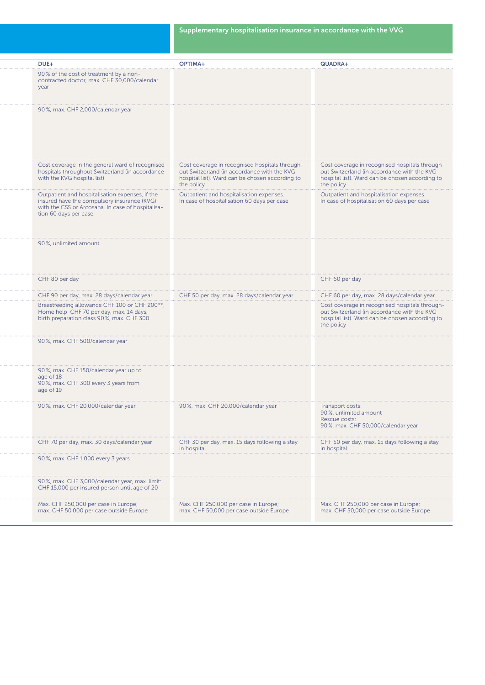| DUE+                                                                                                                                                                         | OPTIMA+                                                                                                                                                        | QUADRA+                                                                                                                                                        |
|------------------------------------------------------------------------------------------------------------------------------------------------------------------------------|----------------------------------------------------------------------------------------------------------------------------------------------------------------|----------------------------------------------------------------------------------------------------------------------------------------------------------------|
| 90% of the cost of treatment by a non-<br>contracted doctor, max. CHF 30,000/calendar<br>year                                                                                |                                                                                                                                                                |                                                                                                                                                                |
| 90%, max. CHF 2,000/calendar year                                                                                                                                            |                                                                                                                                                                |                                                                                                                                                                |
| Cost coverage in the general ward of recognised<br>hospitals throughout Switzerland (in accordance<br>with the KVG hospital list)                                            | Cost coverage in recognised hospitals through-<br>out Switzerland (in accordance with the KVG<br>hospital list). Ward can be chosen according to<br>the policy | Cost coverage in recognised hospitals through-<br>out Switzerland (in accordance with the KVG<br>hospital list). Ward can be chosen according to<br>the policy |
| Outpatient and hospitalisation expenses, if the<br>insured have the compulsory insurance (KVG)<br>with the CSS or Arcosana. In case of hospitalisa-<br>tion 60 days per case | Outpatient and hospitalisation expenses.<br>In case of hospitalisation 60 days per case                                                                        | Outpatient and hospitalisation expenses.<br>In case of hospitalisation 60 days per case                                                                        |
| 90%, unlimited amount                                                                                                                                                        |                                                                                                                                                                |                                                                                                                                                                |
| CHF 80 per day                                                                                                                                                               |                                                                                                                                                                | CHF 60 per day                                                                                                                                                 |
| CHF 90 per day, max. 28 days/calendar year                                                                                                                                   | CHF 50 per day, max. 28 days/calendar year                                                                                                                     | CHF 60 per day, max. 28 days/calendar year                                                                                                                     |
| Breastfeeding allowance CHF 100 or CHF 200**,<br>Home help CHF 70 per day, max. 14 days,<br>birth preparation class 90%, max. CHF 300                                        |                                                                                                                                                                | Cost coverage in recognised hospitals through-<br>out Switzerland (in accordance with the KVG<br>hospital list). Ward can be chosen according to<br>the policy |
| 90%, max. CHF 500/calendar year                                                                                                                                              |                                                                                                                                                                |                                                                                                                                                                |
| 90%, max. CHF 150/calendar year up to<br>age of 18<br>90%, max. CHF 300 every 3 years from<br>age of 19                                                                      |                                                                                                                                                                |                                                                                                                                                                |
| 90%, max. CHF 20,000/calendar year                                                                                                                                           | 90%, max. CHF 20,000/calendar year                                                                                                                             | Transport costs:<br>90%, unlimited amount<br>Rescue costs:<br>90%, max. CHF 50,000/calendar year                                                               |
| CHF 70 per day, max. 30 days/calendar year                                                                                                                                   | CHF 30 per day, max. 15 days following a stay<br>in hospital                                                                                                   | CHF 50 per day, max. 15 days following a stay<br>in hospital                                                                                                   |
| 90%, max. CHF 1,000 every 3 years                                                                                                                                            |                                                                                                                                                                |                                                                                                                                                                |
| 90%, max. CHF 3,000/calendar year, max. limit:<br>CHF 15,000 per insured person until age of 20                                                                              |                                                                                                                                                                |                                                                                                                                                                |
| Max. CHF 250,000 per case in Europe;<br>max. CHF 50,000 per case outside Europe                                                                                              | Max. CHF 250,000 per case in Europe;<br>max. CHF 50,000 per case outside Europe                                                                                | Max. CHF 250,000 per case in Europe;<br>max. CHF 50,000 per case outside Europe                                                                                |